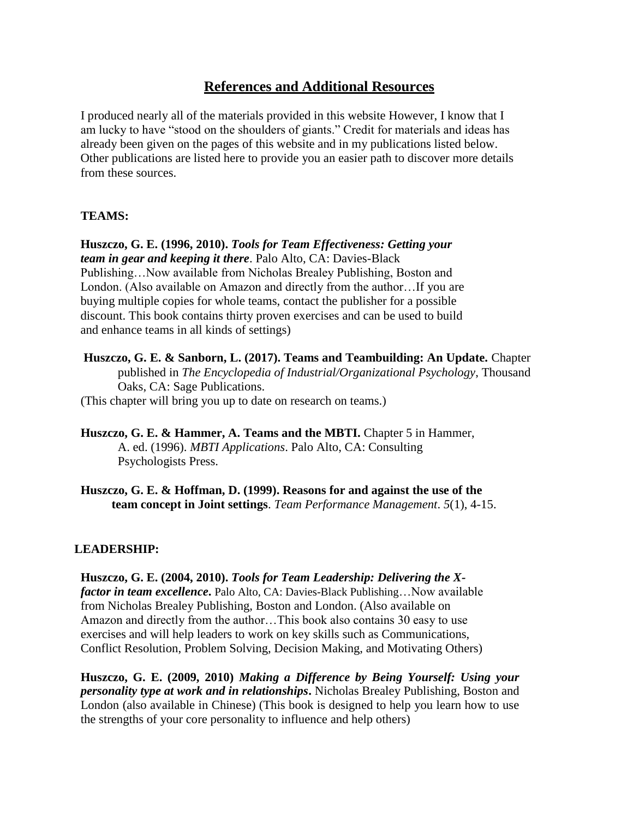# **References and Additional Resources**

I produced nearly all of the materials provided in this website However, I know that I am lucky to have "stood on the shoulders of giants." Credit for materials and ideas has already been given on the pages of this website and in my publications listed below. Other publications are listed here to provide you an easier path to discover more details from these sources.

#### **TEAMS:**

**Huszczo, G. E. (1996, 2010).** *Tools for Team Effectiveness: Getting your team in gear and keeping it there*. Palo Alto, CA: Davies-Black Publishing…Now available from Nicholas Brealey Publishing, Boston and London. (Also available on Amazon and directly from the author…If you are buying multiple copies for whole teams, contact the publisher for a possible discount. This book contains thirty proven exercises and can be used to build and enhance teams in all kinds of settings)

- **Huszczo, G. E. & Sanborn, L. (2017). Teams and Teambuilding: An Update.** Chapter published in *The Encyclopedia of Industrial/Organizational Psychology*, Thousand Oaks, CA: Sage Publications. (This chapter will bring you up to date on research on teams.)
- **Huszczo, G. E. & Hammer, A. Teams and the MBTI.** Chapter 5 in Hammer, A. ed. (1996). *MBTI Applications*. Palo Alto, CA: Consulting Psychologists Press.
- **Huszczo, G. E. & Hoffman, D. (1999). Reasons for and against the use of the team concept in Joint settings**. *Team Performance Management*. *5*(1), 4-15.

### **LEADERSHIP:**

**Huszczo, G. E. (2004, 2010).** *Tools for Team Leadership: Delivering the Xfactor in team excellence***.** Palo Alto, CA: Davies-Black Publishing…Now available from Nicholas Brealey Publishing, Boston and London. (Also available on Amazon and directly from the author…This book also contains 30 easy to use exercises and will help leaders to work on key skills such as Communications, Conflict Resolution, Problem Solving, Decision Making, and Motivating Others)

**Huszczo, G. E. (2009, 2010)** *Making a Difference by Being Yourself: Using your personality type at work and in relationships***.** Nicholas Brealey Publishing, Boston and London (also available in Chinese) (This book is designed to help you learn how to use the strengths of your core personality to influence and help others)